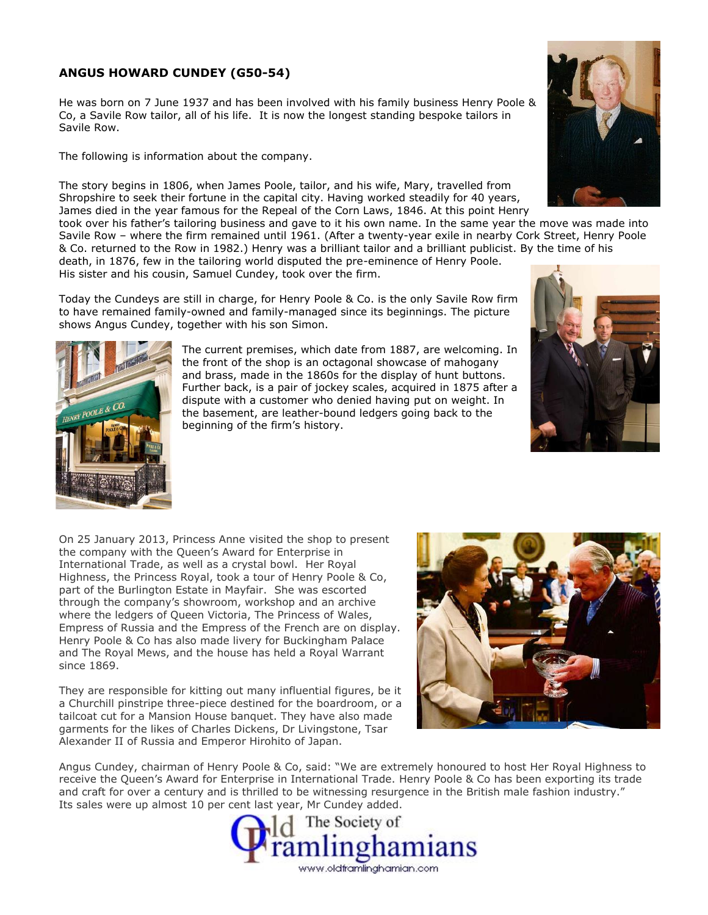## **ANGUS HOWARD CUNDEY (G50-54)**

He was born on 7 June 1937 and has been involved with his family business Henry Poole & Co, a Savile Row tailor, all of his life. It is now the longest standing bespoke tailors in Savile Row.

The following is information about the company.

The story begins in 1806, when James Poole, tailor, and his wife, Mary, travelled from Shropshire to seek their fortune in the capital city. Having worked steadily for 40 years, James died in the year famous for the Repeal of the Corn Laws, 1846. At this point Henry

took over his father's tailoring business and gave to it his own name. In the same year the move was made into Savile Row – where the firm remained until 1961. (After a twenty-year exile in nearby Cork Street, Henry Poole & Co. returned to the Row in 1982.) Henry was a brilliant tailor and a brilliant publicist. By the time of his death, in 1876, few in the tailoring world disputed the pre-eminence of Henry Poole.

His sister and his cousin, Samuel Cundey, took over the firm.

Today the Cundeys are still in charge, for Henry Poole & Co. is the only Savile Row firm to have remained family-owned and family-managed since its beginnings. The picture shows Angus Cundey, together with his son Simon.





The current premises, which date from 1887, are welcoming. In the front of the shop is an octagonal showcase of mahogany and brass, made in the 1860s for the display of hunt buttons. Further back, is a pair of jockey scales, acquired in 1875 after a dispute with a customer who denied having put on weight. In the basement, are leather-bound ledgers going back to the beginning of the firm's history.

On 25 January 2013, Princess Anne visited the shop to present the company with the Queen's Award for Enterprise in International Trade, as well as a crystal bowl. Her Royal Highness, the Princess Royal, took a tour of Henry Poole & Co, part of the Burlington Estate in Mayfair. She was escorted through the company's showroom, workshop and an archive where the ledgers of Queen Victoria, The Princess of Wales, Empress of Russia and the Empress of the French are on display. Henry Poole & Co has also made livery for Buckingham Palace and The Royal Mews, and the house has held a Royal Warrant since 1869.

They are responsible for kitting out many influential figures, be it a Churchill pinstripe three-piece destined for the boardroom, or a tailcoat cut for a Mansion House banquet. They have also made garments for the likes of Charles Dickens, Dr Livingstone, Tsar Alexander II of Russia and Emperor Hirohito of Japan.



Angus Cundey, chairman of Henry Poole & Co, said: "We are extremely honoured to host Her Royal Highness to receive the Queen's Award for Enterprise in International Trade. Henry Poole & Co has been exporting its trade and craft for over a century and is thrilled to be witnessing resurgence in the British male fashion industry." Its sales were up almost 10 per cent last year, Mr Cundey added.